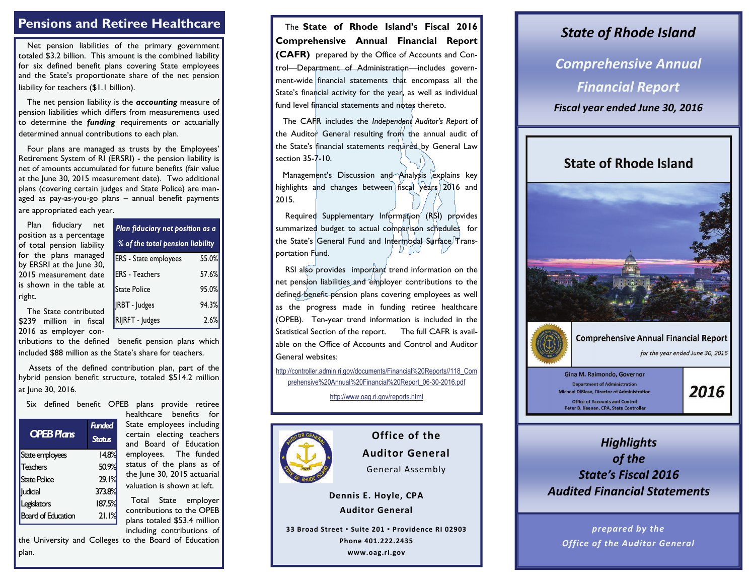### **Pensions and Retiree Healthcare**

Net pension liabilities of the primary government totaled \$3.2 billion. This amount is the combined liability for six defined benefit plans covering State employees and the State's proportionate share of the net pension liability for teachers (\$1.1 billion).

The net pension liability is the *accounting* measure of pension liabilities which differs from measurements used to determine the *funding* requirements or actuarially determined annual contributions to each plan.

Four plans are managed as trusts by the Employees' Retirement System of RI (ERSRI) - the pension liability is net of amounts accumulated for future benefits (fair value at the June 30, 2015 measurement date). Two additional plans (covering certain judges and State Police) are managed as pay-as-you-go plans – annual benefit payments are appropriated each year.

Plan fiduciary net position as a percentage of total pension liability for the plans managed by ERSRI at the June 30, 2015 measurement date is shown in the table at right.

The State contributed \$239 million in fiscal 2016 as employer con-

tributions to the defined benefit pension plans which included \$88 million as the State's share for teachers.

 Assets of the defined contribution plan, part of the hybrid pension benefit structure, totaled \$514.2 million at June 30, 2016.

Six defined benefit OPEB plans provide retiree

| <b>OPEB Plans</b>         | <b>Funded</b><br><b>Status</b> |
|---------------------------|--------------------------------|
| State employees           | 14.8%                          |
| Teachers                  | 50.9%                          |
| <b>State Police</b>       | 29.1%                          |
| udicial                   | 373.8%                         |
| Legislators               | 187.5%                         |
| <b>Board of Education</b> | 21.1%                          |

healthcare benefits for State employees including certain electing teachers and Board of Education employees. The funded status of the plans as of the June 30, 2015 actuarial valuation is shown at left.

ERS - State employees 55.0%

*Plan fiduciary net position as a % of the total pension liability*

 $|RBT - ludges$  94.3% RIJRFT - Judges 2.6%

57.6%

95.0%

ERS - Teachers

State Police

 Total State employer contributions to the OPEB plans totaled \$53.4 million including contributions of

the University and Colleges to the Board of Education plan.

 The **State of Rhode Island's Fiscal 2016 Comprehensive Annual Financial Report (CAFR)** prepared by the Office of Accounts and Control—Department of Administration—includes government-wide financial statements that encompass all the State's financial activity for the year, as well as individual fund level financial statements and notes thereto.

 The CAFR includes the *Independent Auditor's Report* of the Auditor General resulting from the annual audit of the State's financial statements required by General Law section 35-7-10.

Management's Discussion and Analysis explains key highlights and changes between fiscal years 2016 and 2015.

Required Supplementary Information (RSI) provides summarized budget to actual comparison schedules for the State's General Fund and Intermodal Surface Transportation Fund.

RSI also provides important trend information on the net pension liabilities and employer contributions to the defined benefit pension plans covering employees as well as the progress made in funding retiree healthcare (OPEB). Ten-year trend information is included in the Statistical Section of the report. The full CAFR is available on the Office of Accounts and Control and Auditor General websites:

[http://controller.admin.ri.gov/documents/Financial%20Reports//118\\_Com](http://controller.admin.ri.gov/documents/Financial%20Reports/118_Comprehensive%20Annual%20Financial%20Report_06-30-2016.pdf) [prehensive%20Annual%20Financial%20Report\\_06-30-2016.pdf](http://controller.admin.ri.gov/documents/Financial%20Reports/118_Comprehensive%20Annual%20Financial%20Report_06-30-2016.pdf)

http://www.oag.ri.gov/reports.html



## **Office of the Auditor General**

General Assembly

**Dennis E. Hoyle, CPA Auditor General**

**33 Broad Street ▪ Suite 201 ▪ Providence RI 02903**

**Phone 401.222.2435**

**www.oag.ri.gov**

#### *State of Rhode Island*

*Comprehensive Annual Financial Report Fiscal year ended June 30, 2016*

### **State of Rhode Island**





### **Comprehensive Annual Financial Report**

for the year ended June 30, 2016

Gina M. Raimondo, Governor **Department of Administration** Michael DiBiase, Director of Administration **Office of Accounts and Control** Peter B. Keenan, CPA, State Controller

# 2016

### *Highlights of the State's Fiscal 2016Audited Financial Statements*

*prepared by the Office of the Auditor General*